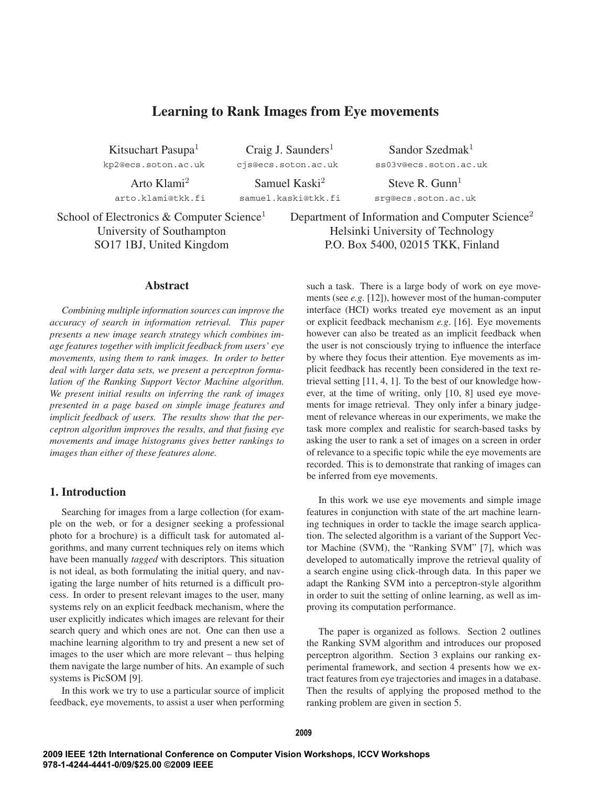# **Learning to Rank Images from Eye movements**

Kitsuchart Pasupa<sup>1</sup> kp2@ecs.soton.ac.uk

Craig J. Saunders<sup>1</sup> cjs@ecs.soton.ac.uk

Arto Klami<sup>2</sup> arto.klami@tkk.fi

Samuel Kaski<sup>2</sup> samuel.kaski@tkk.fi

School of Electronics & Computer Science<sup>1</sup> University of Southampton SO17 1BJ, United Kingdom

# **Abstract**

*Combining multiple information sources can improve the accuracy of search in information retrieval. This paper presents a new image search strategy which combines image features together with implicit feedback from users' eye movements, using them to rank images. In order to better deal with larger data sets, we present a perceptron formulation of the Ranking Support Vector Machine algorithm. We present initial results on inferring the rank of images presented in a page based on simple image features and implicit feedback of users. The results show that the perceptron algorithm improves the results, and that fusing eye movements and image histograms gives better rankings to images than either of these features alone.*

# **1. Introduction**

Searching for images from a large collection (for example on the web, or for a designer seeking a professional photo for a brochure) is a difficult task for automated algorithms, and many current techniques rely on items which have been manually *tagged* with descriptors. This situation is not ideal, as both formulating the initial query, and navigating the large number of hits returned is a difficult process. In order to present relevant images to the user, many systems rely on an explicit feedback mechanism, where the user explicitly indicates which images are relevant for their search query and which ones are not. One can then use a machine learning algorithm to try and present a new set of images to the user which are more relevant – thus helping them navigate the large number of hits. An example of such systems is PicSOM [9].

In this work we try to use a particular source of implicit feedback, eye movements, to assist a user when performing

Sandor Szedma $k<sup>1</sup>$ ss03v@ecs.soton.ac.uk

Steve R.  $Gunn<sup>1</sup>$ srg@ecs.soton.ac.uk

Department of Information and Computer Science<sup>2</sup> Helsinki University of Technology P.O. Box 5400, 02015 TKK, Finland

such a task. There is a large body of work on eye movements (see *e.g*. [12]), however most of the human-computer interface (HCI) works treated eye movement as an input or explicit feedback mechanism *e.g*. [16]. Eye movements however can also be treated as an implicit feedback when the user is not consciously trying to influence the interface by where they focus their attention. Eye movements as implicit feedback has recently been considered in the text retrieval setting [11, 4, 1]. To the best of our knowledge however, at the time of writing, only [10, 8] used eye movements for image retrieval. They only infer a binary judgement of relevance whereas in our experiments, we make the task more complex and realistic for search-based tasks by asking the user to rank a set of images on a screen in order of relevance to a specific topic while the eye movements are recorded. This is to demonstrate that ranking of images can be inferred from eye movements.

In this work we use eye movements and simple image features in conjunction with state of the art machine learning techniques in order to tackle the image search application. The selected algorithm is a variant of the Support Vector Machine (SVM), the "Ranking SVM" [7], which was developed to automatically improve the retrieval quality of a search engine using click-through data. In this paper we adapt the Ranking SVM into a perceptron-style algorithm in order to suit the setting of online learning, as well as improving its computation performance.

The paper is organized as follows. Section 2 outlines the Ranking SVM algorithm and introduces our proposed perceptron algorithm. Section 3 explains our ranking experimental framework, and section 4 presents how we extract features from eye trajectories and images in a database. Then the results of applying the proposed method to the ranking problem are given in section 5.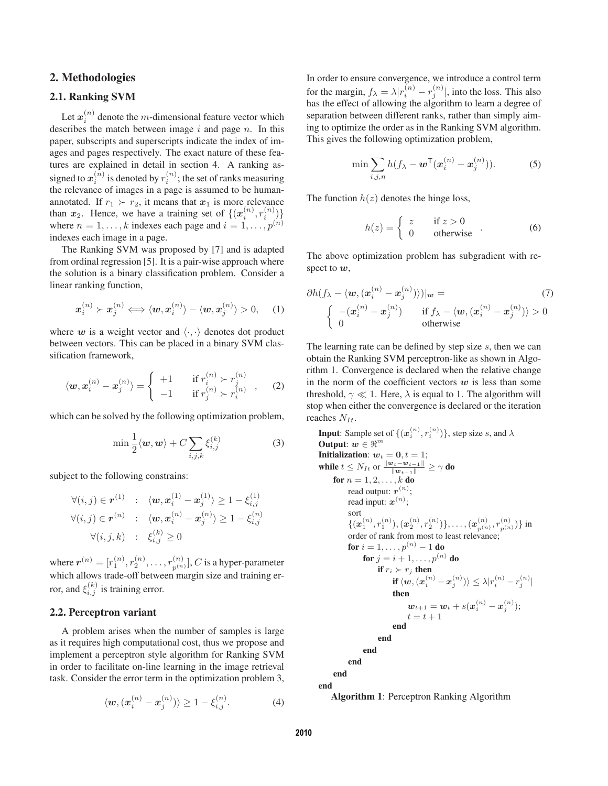# **2. Methodologies**

# **2.1. Ranking SVM**

Let  $x_i^{(n)}$  denote the *m*-dimensional feature vector which<br>cribes the match between image *i* and page *n*. In this describes the match between image  $i$  and page  $n$ . In this paper, subscripts and superscripts indicate the index of images and pages respectively. The exact nature of these features are explained in detail in section 4. A ranking assigned to  $x_i^{(n)}$  is denoted by  $r_i^{(n)}$ ; the set of ranks measuring<br>the relevance of images in a name is assumed to be humanthe relevance of images in a page is assumed to be humanannotated. If  $r_1 > r_2$ , it means that  $x_1$  is more relevance<br>than  $x_2$ . Hence, we have a training set of  $f(x^{(n)}_1, x^{(n)})$ than  $x_2$ . Hence, we have a training set of  $\{(x_i^{(n)}, r_i^{(n)})\}$ <br>where  $n = 1$ , kindexes each page and  $i = 1$ ,  $p^{(n)}$  $\sum_{i=1}^{n} r_i$ where  $n = 1, ..., k$  indexes each page and  $i = 1, ..., p^{(n)}$ <br>indexes each image in a page indexes each image in a page.

The Ranking SVM was proposed by [7] and is adapted from ordinal regression [5]. It is a pair-wise approach where the solution is a binary classification problem. Consider a linear ranking function,

$$
\boldsymbol{x}_i^{(n)} \succ \boldsymbol{x}_j^{(n)} \Longleftrightarrow \langle \boldsymbol{w}, \boldsymbol{x}_i^{(n)} \rangle - \langle \boldsymbol{w}, \boldsymbol{x}_j^{(n)} \rangle > 0, \quad (1)
$$

where *w* is a weight vector and  $\langle \cdot, \cdot \rangle$  denotes dot product between vectors. This can be placed in a binary SVM classification framework,

$$
\langle \boldsymbol{w}, \boldsymbol{x}_i^{(n)} - \boldsymbol{x}_j^{(n)} \rangle = \begin{cases} +1 & \text{if } r_i^{(n)} \succ r_j^{(n)} \\ -1 & \text{if } r_j^{(n)} \succ r_i^{(n)} \end{cases}, \quad (2)
$$

which can be solved by the following optimization problem,

$$
\min \frac{1}{2} \langle \boldsymbol{w}, \boldsymbol{w} \rangle + C \sum_{i,j,k} \xi_{i,j}^{(k)} \tag{3}
$$

subject to the following constrains:

$$
\forall (i, j) \in r^{(1)} : \langle w, x_i^{(1)} - x_j^{(1)} \rangle \ge 1 - \xi_{i,j}^{(1)}
$$
  

$$
\forall (i, j) \in r^{(n)} : \langle w, x_i^{(n)} - x_j^{(n)} \rangle \ge 1 - \xi_{i,j}^{(n)}
$$
  

$$
\forall (i, j, k) : \xi_{i,j}^{(k)} \ge 0
$$

where  $r^{(n)} = [r_1^{(n)}, r_2^{(n)}, \dots, r_{p(n)}^{(n)}], C$  is a hyper-parameter<br>which allows trade-off between margin size and training erwhich allows trade-off between margin size and training error, and  $\xi_{i,j}^{(k)}$  is training error.

### **2.2. Perceptron variant**

A problem arises when the number of samples is large as it requires high computational cost, thus we propose and implement a perceptron style algorithm for Ranking SVM in order to facilitate on-line learning in the image retrieval task. Consider the error term in the optimization problem 3,

$$
\langle \boldsymbol{w}, (\boldsymbol{x}_i^{(n)} - \boldsymbol{x}_j^{(n)}) \rangle \ge 1 - \xi_{i,j}^{(n)}.
$$
 (4)

In order to ensure convergence, we introduce a control term for the margin,  $f_{\lambda} = \lambda |r_i^{(n)} - r_j^{(n)}|$ , into the loss. This also<br>has the effect of allowing the algorithm to learn a degree of has the effect of allowing the algorithm to learn a degree of separation between different ranks, rather than simply aiming to optimize the order as in the Ranking SVM algorithm. This gives the following optimization problem,

$$
\min \sum_{i,j,n} h(f_{\lambda} - \boldsymbol{w}^{\mathsf{T}}(\boldsymbol{x}_i^{(n)} - \boldsymbol{x}_j^{(n)})). \tag{5}
$$

The function  $h(z)$  denotes the hinge loss,

$$
h(z) = \begin{cases} z & \text{if } z > 0 \\ 0 & \text{otherwise} \end{cases}
$$
 (6)

The above optimization problem has subgradient with respect to *w*,

$$
\partial h(f_{\lambda} - \langle \boldsymbol{w}, (\boldsymbol{x}_i^{(n)} - \boldsymbol{x}_j^{(n)}) \rangle)|_{\boldsymbol{w}} = \tag{7}
$$
\n
$$
\begin{cases}\n-(\boldsymbol{x}_i^{(n)} - \boldsymbol{x}_j^{(n)}) & \text{if } f_{\lambda} - \langle \boldsymbol{w}, (\boldsymbol{x}_i^{(n)} - \boldsymbol{x}_j^{(n)}) \rangle > 0 \\
0 & \text{otherwise}\n\end{cases}
$$

The learning rate can be defined by step size  $s$ , then we can obtain the Ranking SVM perceptron-like as shown in Algorithm 1. Convergence is declared when the relative change in the norm of the coefficient vectors  $w$  is less than some threshold,  $\gamma \ll 1$ . Here,  $\lambda$  is equal to 1. The algorithm will stop when either the convergence is declared or the iteration stop when either the convergence is declared or the iteration reaches  $N_{It}$ .<br>**Input**: San

Input: Sample set of 
$$
\{(x_i^{(n)}, r_i^{(n)})\}
$$
, step size s, and  $\lambda$ \nOutput:  $w \in \mathbb{R}^m$ \n**Initialization**:  $w_t = 0, t = 1$ ;\nwhile  $t \leq N_{It}$  or  $\frac{\|w_t - w_{t-1}\|}{\|w_{t-1}\|} \geq \gamma$  do\n for  $n = 1, 2, \ldots, k$  do\n read output:  $r^{(n)}$ ;\n read input:  $x^{(n)}$ ;\n sort\n  $\{(x_1^{(n)}, r_1^{(n)}), (x_2^{(n)}, r_2^{(n)})\}, \ldots, (x_{p(n)}^{(n)}, r_{p(n)}^{(n)})\}$  in order of rank from most to least relevance;\n for  $i = 1, \ldots, p^{(n)} - 1$  do\n for  $j = i + 1, \ldots, p^{(n)}$  do\n if  $r_i \succ r_j$  then\n if  $\langle w, (x_i^{(n)} - x_j^{(n)}) \rangle \leq \lambda |r_i^{(n)} - r_j^{(n)}|$  then\n  $w_{t+1} = w_t + s(x_i^{(n)} - x_j^{(n)})$ ;\n  $t = t + 1$  end\n end\nend\nend\neq end\nend\neq end\nend\neq end\nend\neq end

**Algorithm 1**: Perceptron Ranking Algorithm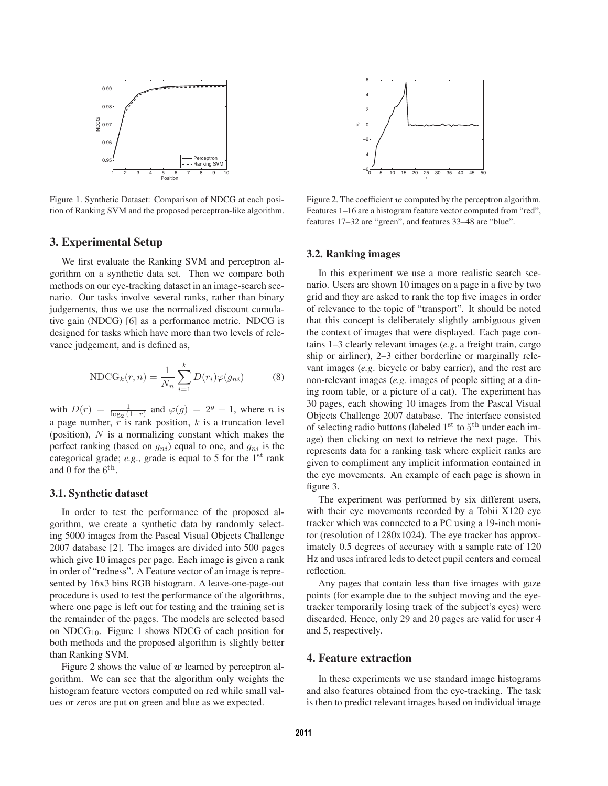

Figure 1. Synthetic Dataset: Comparison of NDCG at each position of Ranking SVM and the proposed perceptron-like algorithm.

# **3. Experimental Setup**

We first evaluate the Ranking SVM and perceptron algorithm on a synthetic data set. Then we compare both methods on our eye-tracking dataset in an image-search scenario. Our tasks involve several ranks, rather than binary judgements, thus we use the normalized discount cumulative gain (NDCG) [6] as a performance metric. NDCG is designed for tasks which have more than two levels of relevance judgement, and is defined as,

$$
NDCG_k(r, n) = \frac{1}{N_n} \sum_{i=1}^{k} D(r_i)\varphi(g_{ni})
$$
 (8)

with  $D(r) = \frac{1}{\log_2(1+r)}$  and  $\varphi(g) = 2^g - 1$ , where *n* is a page number, r is rank position, k is a truncation level<br>(position). N is a pormalizing constant which makes the (position),  $N$  is a normalizing constant which makes the perfect ranking (based on  $g_{ni}$ ) equal to one, and  $g_{ni}$  is the categorical grade;  $e.g.,$  grade is equal to 5 for the  $1<sup>st</sup>$  rank and 0 for the  $6<sup>th</sup>$ .

#### **3.1. Synthetic dataset**

In order to test the performance of the proposed algorithm, we create a synthetic data by randomly selecting 5000 images from the Pascal Visual Objects Challenge 2007 database [2]. The images are divided into 500 pages which give 10 images per page. Each image is given a rank in order of "redness". A Feature vector of an image is represented by 16x3 bins RGB histogram. A leave-one-page-out procedure is used to test the performance of the algorithms, where one page is left out for testing and the training set is the remainder of the pages. The models are selected based on NDC $G_{10}$ . Figure 1 shows NDCG of each position for both methods and the proposed algorithm is slightly better than Ranking SVM.

Figure 2 shows the value of *w* learned by perceptron algorithm. We can see that the algorithm only weights the histogram feature vectors computed on red while small values or zeros are put on green and blue as we expected.



Figure 2. The coefficient *w* computed by the perceptron algorithm. Features 1–16 are a histogram feature vector computed from "red", features 17–32 are "green", and features 33–48 are "blue".

#### **3.2. Ranking images**

In this experiment we use a more realistic search scenario. Users are shown 10 images on a page in a five by two grid and they are asked to rank the top five images in order of relevance to the topic of "transport". It should be noted that this concept is deliberately slightly ambiguous given the context of images that were displayed. Each page contains 1–3 clearly relevant images (*e.g*. a freight train, cargo ship or airliner), 2–3 either borderline or marginally relevant images (*e.g*. bicycle or baby carrier), and the rest are non-relevant images (*e.g*. images of people sitting at a dining room table, or a picture of a cat). The experiment has 30 pages, each showing 10 images from the Pascal Visual Objects Challenge 2007 database. The interface consisted of selecting radio buttons (labeled  $1<sup>st</sup>$  to  $5<sup>th</sup>$  under each image) then clicking on next to retrieve the next page. This represents data for a ranking task where explicit ranks are given to compliment any implicit information contained in the eye movements. An example of each page is shown in figure 3.

The experiment was performed by six different users, with their eye movements recorded by a Tobii X120 eye tracker which was connected to a PC using a 19-inch monitor (resolution of 1280x1024). The eye tracker has approximately 0.5 degrees of accuracy with a sample rate of 120 Hz and uses infrared leds to detect pupil centers and corneal reflection.

Any pages that contain less than five images with gaze points (for example due to the subject moving and the eyetracker temporarily losing track of the subject's eyes) were discarded. Hence, only 29 and 20 pages are valid for user 4 and 5, respectively.

# **4. Feature extraction**

In these experiments we use standard image histograms and also features obtained from the eye-tracking. The task is then to predict relevant images based on individual image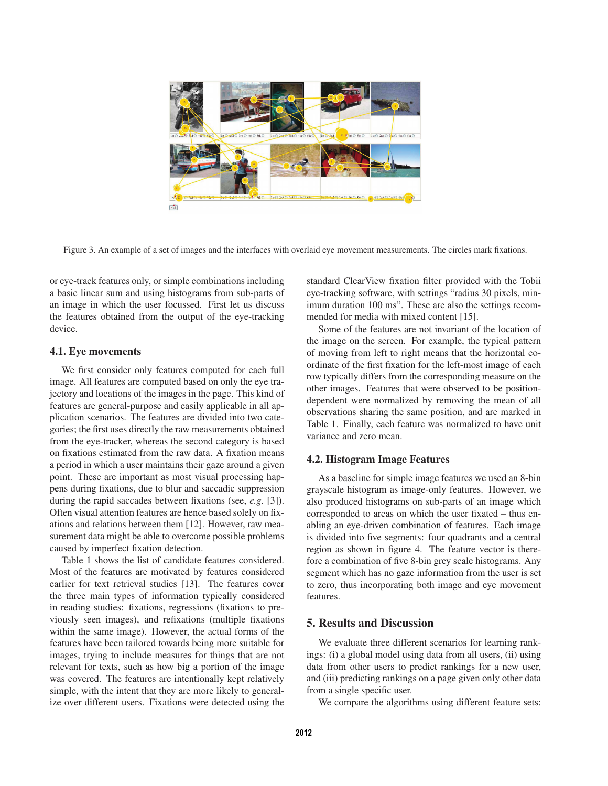

Figure 3. An example of a set of images and the interfaces with overlaid eye movement measurements. The circles mark fixations.

or eye-track features only, or simple combinations including a basic linear sum and using histograms from sub-parts of an image in which the user focussed. First let us discuss the features obtained from the output of the eye-tracking device.

#### **4.1. Eye movements**

We first consider only features computed for each full image. All features are computed based on only the eye trajectory and locations of the images in the page. This kind of features are general-purpose and easily applicable in all application scenarios. The features are divided into two categories; the first uses directly the raw measurements obtained from the eye-tracker, whereas the second category is based on fixations estimated from the raw data. A fixation means a period in which a user maintains their gaze around a given point. These are important as most visual processing happens during fixations, due to blur and saccadic suppression during the rapid saccades between fixations (see, *e.g*. [3]). Often visual attention features are hence based solely on fixations and relations between them [12]. However, raw measurement data might be able to overcome possible problems caused by imperfect fixation detection.

Table 1 shows the list of candidate features considered. Most of the features are motivated by features considered earlier for text retrieval studies [13]. The features cover the three main types of information typically considered in reading studies: fixations, regressions (fixations to previously seen images), and refixations (multiple fixations within the same image). However, the actual forms of the features have been tailored towards being more suitable for images, trying to include measures for things that are not relevant for texts, such as how big a portion of the image was covered. The features are intentionally kept relatively simple, with the intent that they are more likely to generalize over different users. Fixations were detected using the

standard ClearView fixation filter provided with the Tobii eye-tracking software, with settings "radius 30 pixels, minimum duration 100 ms". These are also the settings recommended for media with mixed content [15].

Some of the features are not invariant of the location of the image on the screen. For example, the typical pattern of moving from left to right means that the horizontal coordinate of the first fixation for the left-most image of each row typically differs from the corresponding measure on the other images. Features that were observed to be positiondependent were normalized by removing the mean of all observations sharing the same position, and are marked in Table 1. Finally, each feature was normalized to have unit variance and zero mean.

# **4.2. Histogram Image Features**

As a baseline for simple image features we used an 8-bin grayscale histogram as image-only features. However, we also produced histograms on sub-parts of an image which corresponded to areas on which the user fixated – thus enabling an eye-driven combination of features. Each image is divided into five segments: four quadrants and a central region as shown in figure 4. The feature vector is therefore a combination of five 8-bin grey scale histograms. Any segment which has no gaze information from the user is set to zero, thus incorporating both image and eye movement features.

# **5. Results and Discussion**

We evaluate three different scenarios for learning rankings: (i) a global model using data from all users, (ii) using data from other users to predict rankings for a new user, and (iii) predicting rankings on a page given only other data from a single specific user.

We compare the algorithms using different feature sets: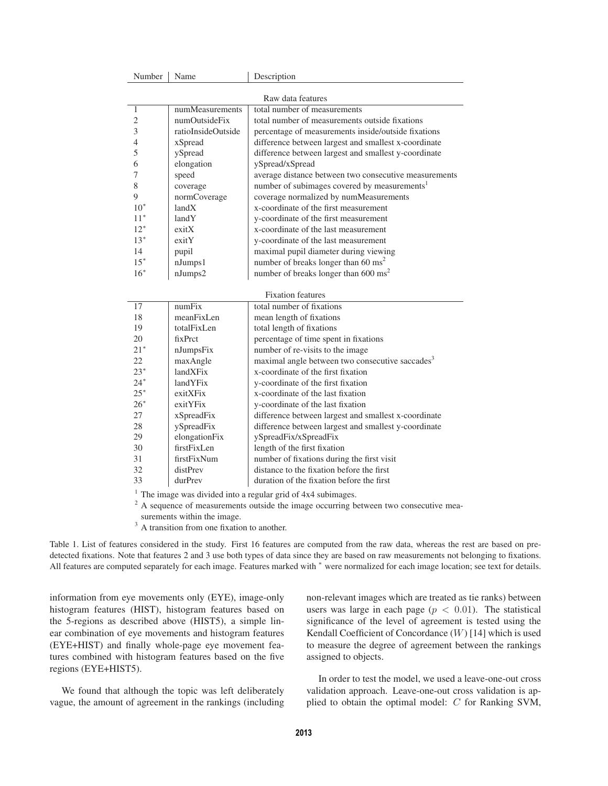| Number                   | Name               | Description                                                 |
|--------------------------|--------------------|-------------------------------------------------------------|
| Raw data features        |                    |                                                             |
| 1                        | numMeasurements    | total number of measurements                                |
| $\overline{c}$           | numOutsideFix      | total number of measurements outside fixations              |
| 3                        | ratioInsideOutside | percentage of measurements inside/outside fixations         |
| 4                        | xSpread            | difference between largest and smallest x-coordinate        |
| 5                        | ySpread            | difference between largest and smallest y-coordinate        |
| 6                        | elongation         | ySpread/xSpread                                             |
| 7                        | speed              | average distance between two consecutive measurements       |
| 8                        | coverage           | number of subimages covered by measurements <sup>1</sup>    |
| 9                        | normCoverage       | coverage normalized by numMeasurements                      |
| $10*$                    | landX              | x-coordinate of the first measurement                       |
| $11*$                    | landY              | v-coordinate of the first measurement                       |
| $12*$                    | exitX              | x-coordinate of the last measurement                        |
| $13*$                    | exitY              | y-coordinate of the last measurement                        |
| 14                       | pupil              | maximal pupil diameter during viewing                       |
| $15*$                    | nJumps1            | number of breaks longer than 60 $\text{ms}^2$               |
| $16*$                    | nJumps2            | number of breaks longer than 600 ms <sup>2</sup>            |
| <b>Fixation</b> features |                    |                                                             |
| 17                       | numFix             | total number of fixations                                   |
| 18                       | meanFixLen         | mean length of fixations                                    |
| 19                       | totalFixLen        | total length of fixations                                   |
| 20                       | fixPrct            | percentage of time spent in fixations                       |
| $21*$                    | nJumpsFix          | number of re-visits to the image                            |
| 22                       | maxAngle           | maximal angle between two consecutive saccades <sup>3</sup> |
| $23*$                    | landXFix           | x-coordinate of the first fixation                          |
| $24*$                    | landYFix           | y-coordinate of the first fixation                          |
| $25*$                    | exitXFix           | x-coordinate of the last fixation                           |
| $26*$                    | exitYFix           | y-coordinate of the last fixation                           |
| 27                       | xSpreadFix         | difference between largest and smallest x-coordinate        |
| 28                       | ySpreadFix         | difference between largest and smallest y-coordinate        |
| 29                       | elongationFix      | ySpreadFix/xSpreadFix                                       |
| 30                       | firstFixLen        | length of the first fixation                                |
| 31                       | firstFixNum        | number of fixations during the first visit                  |
| 32                       | distPrev           | distance to the fixation before the first                   |
| 33                       | durPrev            | duration of the fixation before the first                   |

 $1$  The image was divided into a regular grid of  $4x4$  subimages.

<sup>2</sup> A sequence of measurements outside the image occurring between two consecutive mea-

surements within the image.

<sup>3</sup> A transition from one fixation to another.

Table 1. List of features considered in the study. First 16 features are computed from the raw data, whereas the rest are based on predetected fixations. Note that features 2 and 3 use both types of data since they are based on raw measurements not belonging to fixations. All features are computed separately for each image. Features marked with <sup>∗</sup> were normalized for each image location; see text for details.

information from eye movements only (EYE), image-only histogram features (HIST), histogram features based on the 5-regions as described above (HIST5), a simple linear combination of eye movements and histogram features (EYE+HIST) and finally whole-page eye movement features combined with histogram features based on the five regions (EYE+HIST5).

We found that although the topic was left deliberately vague, the amount of agreement in the rankings (including non-relevant images which are treated as tie ranks) between users was large in each page ( $p < 0.01$ ). The statistical significance of the level of agreement is tested using the Kendall Coefficient of Concordance  $(W)$  [14] which is used to measure the degree of agreement between the rankings assigned to objects.

In order to test the model, we used a leave-one-out cross validation approach. Leave-one-out cross validation is applied to obtain the optimal model: C for Ranking SVM,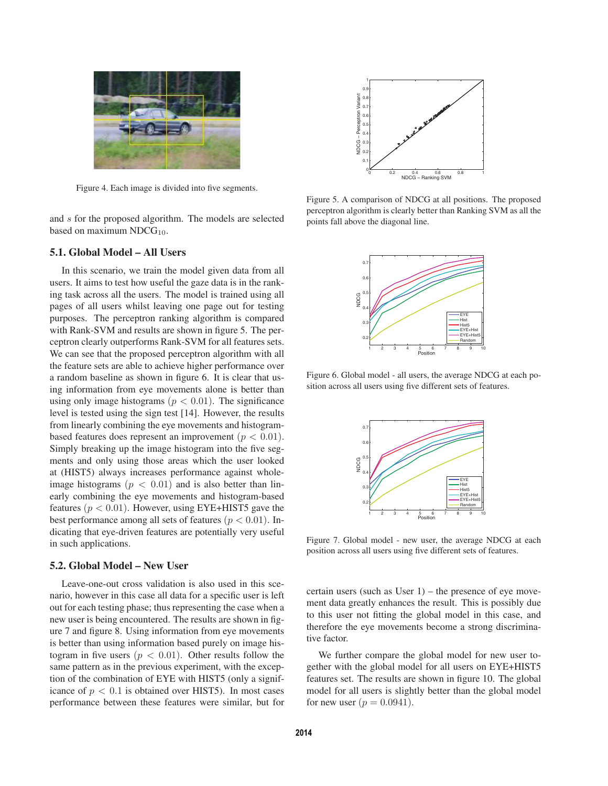

Figure 4. Each image is divided into five segments.

and s for the proposed algorithm. The models are selected based on maximum  $NDCG<sub>10</sub>$ .

## **5.1. Global Model – All Users**

In this scenario, we train the model given data from all users. It aims to test how useful the gaze data is in the ranking task across all the users. The model is trained using all pages of all users whilst leaving one page out for testing purposes. The perceptron ranking algorithm is compared with Rank-SVM and results are shown in figure 5. The perceptron clearly outperforms Rank-SVM for all features sets. We can see that the proposed perceptron algorithm with all the feature sets are able to achieve higher performance over a random baseline as shown in figure 6. It is clear that using information from eye movements alone is better than using only image histograms ( $p < 0.01$ ). The significance level is tested using the sign test [14]. However, the results from linearly combining the eye movements and histogrambased features does represent an improvement ( $p < 0.01$ ). Simply breaking up the image histogram into the five segments and only using those areas which the user looked at (HIST5) always increases performance against wholeimage histograms ( $p < 0.01$ ) and is also better than linearly combining the eye movements and histogram-based features ( $p < 0.01$ ). However, using EYE+HIST5 gave the best performance among all sets of features ( $p < 0.01$ ). Indicating that eye-driven features are potentially very useful in such applications.

#### **5.2. Global Model – New User**

Leave-one-out cross validation is also used in this scenario, however in this case all data for a specific user is left out for each testing phase; thus representing the case when a new user is being encountered. The results are shown in figure 7 and figure 8. Using information from eye movements is better than using information based purely on image histogram in five users ( $p < 0.01$ ). Other results follow the same pattern as in the previous experiment, with the exception of the combination of EYE with HIST5 (only a significance of  $p < 0.1$  is obtained over HIST5). In most cases performance between these features were similar, but for



Figure 5. A comparison of NDCG at all positions. The proposed perceptron algorithm is clearly better than Ranking SVM as all the points fall above the diagonal line.



Figure 6. Global model - all users, the average NDCG at each position across all users using five different sets of features.



Figure 7. Global model - new user, the average NDCG at each position across all users using five different sets of features.

certain users (such as User 1) – the presence of eye movement data greatly enhances the result. This is possibly due to this user not fitting the global model in this case, and therefore the eye movements become a strong discriminative factor.

We further compare the global model for new user together with the global model for all users on EYE+HIST5 features set. The results are shown in figure 10. The global model for all users is slightly better than the global model for new user  $(p = 0.0941)$ .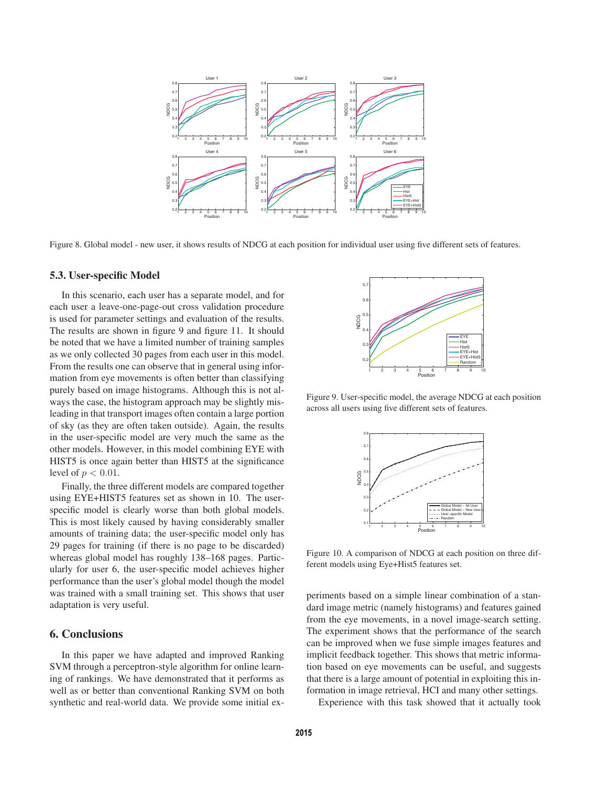

Figure 8. Global model - new user, it shows results of NDCG at each position for individual user using five different sets of features.

#### **5.3. User-specific Model**

In this scenario, each user has a separate model, and for each user a leave-one-page-out cross validation procedure is used for parameter settings and evaluation of the results. The results are shown in figure 9 and figure 11. It should be noted that we have a limited number of training samples as we only collected 30 pages from each user in this model. From the results one can observe that in general using information from eye movements is often better than classifying purely based on image histograms. Although this is not always the case, the histogram approach may be slightly misleading in that transport images often contain a large portion of sky (as they are often taken outside). Again, the results in the user-specific model are very much the same as the other models. However, in this model combining EYE with HIST5 is once again better than HIST5 at the significance level of  $p < 0.01$ .

Finally, the three different models are compared together using EYE+HIST5 features set as shown in 10. The userspecific model is clearly worse than both global models. This is most likely caused by having considerably smaller amounts of training data; the user-specific model only has 29 pages for training (if there is no page to be discarded) whereas global model has roughly 138–168 pages. Particularly for user 6, the user-specific model achieves higher performance than the user's global model though the model was trained with a small training set. This shows that user adaptation is very useful.

# **6. Conclusions**

In this paper we have adapted and improved Ranking SVM through a perceptron-style algorithm for online learning of rankings. We have demonstrated that it performs as well as or better than conventional Ranking SVM on both synthetic and real-world data. We provide some initial ex-



Figure 9. User-specific model, the average NDCG at each position across all users using five different sets of features.



Figure 10. A comparison of NDCG at each position on three different models using Eye+Hist5 features set.

periments based on a simple linear combination of a standard image metric (namely histograms) and features gained from the eye movements, in a novel image-search setting. The experiment shows that the performance of the search can be improved when we fuse simple images features and implicit feedback together. This shows that metric information based on eye movements can be useful, and suggests that there is a large amount of potential in exploiting this information in image retrieval, HCI and many other settings.

Experience with this task showed that it actually took